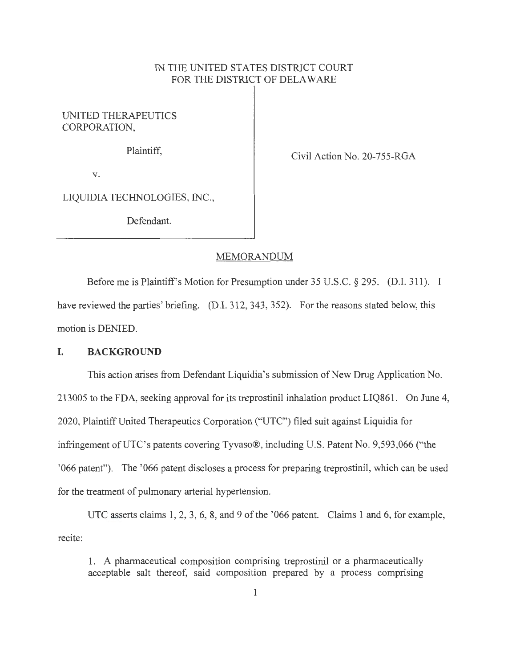## IN THE UNITED STATES DISTRICT COURT FOR THE DISTRICT OF DELAWARE

UNITED THERAPEUTICS CORPORATION,

Plaintiff, Civil Action No. 20-755-RGA

V.

LIQUIDIA TECHNOLOGIES, INC.,

Defendant.

#### MEMORANDUM

Before me is Plaintiff's Motion for Presumption under 35 U.S.C. § 295. (D.I. 311 ). I have reviewed the parties' briefing. (D.I. 312, 343, 352). For the reasons stated below, this motion is DENIED.

#### **I. BACKGROUND**

This action arises from Defendant Liquidia's submission of New Drug Application No. 213005 to the FDA, seeking approval for its treprostinil inhalation product LIQ861. On June 4, 2020, Plaintiff United Therapeutics Corporation ("UTC") filed suit against Liquidia for infringement of UTC's patents covering Tyvaso®, including U.S. Patent No. 9,593,066 ("the '066 patent''). The '066 patent discloses a process for preparing treprostinil, which can be used for the treatment of pulmonary arterial hypertension.

recite: UTC asserts claims 1, 2, 3, 6, 8, and 9 of the '066 patent. Claims 1 and 6, for example,

1. A pharmaceutical composition comprising treprostinil or a pharmaceutically acceptable salt thereof, said composition prepared by a process comprising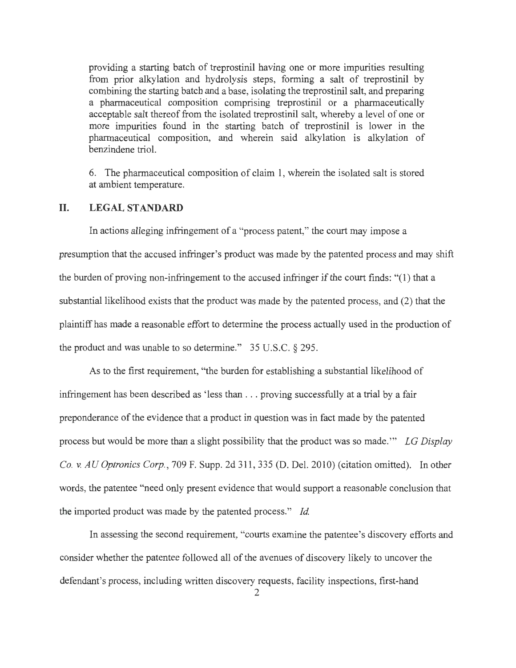providing a starting batch of treprostinil having one or more impurities resulting from prior alkylation and hydrolysis steps, forming a salt of treprostinil by combining the starting batch and a base, isolating the treprostinil salt, and preparing a pharmaceutical composition comprising treprostinil or a pharmaceutically acceptable salt thereof from the isolated treprostinil salt, whereby a level of one or more impurities found in the starting batch of treprostinil is lower in the pharmaceutical composition, and wherein said alkylation is alkylation of benzindene triol.

6. The pharmaceutical composition of claim 1, wherein the isolated salt is stored at ambient temperature.

#### **II. LEGAL STANDARD**

In actions alleging infringement of a "process patent," the court may impose a presumption that the accused infringer's product was made by the patented process and may shift the burden of proving non-infringement to the accused infringer if the court finds: "(1) that a substantial likelihood exists that the product was made by the patented process, and (2) that the plaintiff has made a reasonable effort to determine the process actually used in the production of the product and was unable to so determine." 35 U.S.C. § 295.

As to the first requirement, "the burden for establishing a substantial likelihood of infringement has been described as 'less than .. . proving successfully at a trial by a fair preponderance of the evidence that a product in question was in fact made by the patented process but would be more than a slight possibility that the product was so made. "' *LG Display Co. v. AU Optronics Corp. ,* 709 F. Supp. 2d 311 , 335 (D. Del. 2010) (citation omitted). In other words, the patentee "need only present evidence that would support a reasonable conclusion that the imported product was made by the patented process." *Id.* 

In assessing the second requirement, "courts examine the patentee's discovery efforts and consider whether the patentee followed all of the avenues of discovery likely to uncover the defendant's process, including written discovery requests, facility inspections, first-hand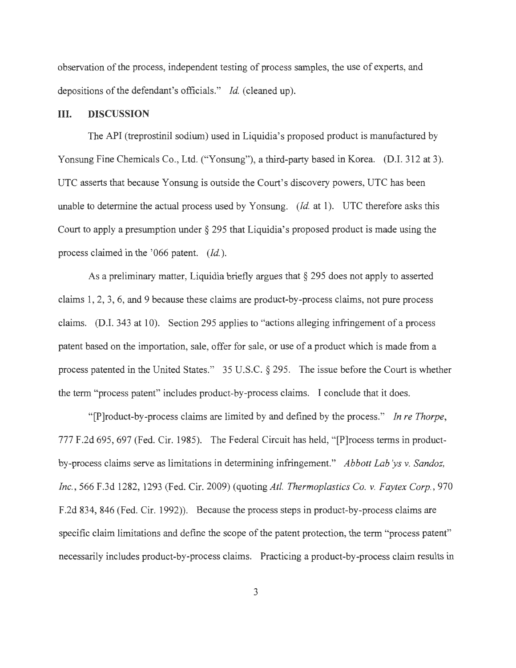observation of the process, independent testing of process samples, the use of experts, and depositions of the defendant's officials." *Id.* (cleaned up).

## **III. DISCUSSION**

The API (treprostinil sodium) used in Liquidia's proposed product is manufactured by Yonsung Fine Chemicals Co., Ltd. ("Yonsung"), a third-party based in Korea. (D.I. 312 at 3). UTC asserts that because Yonsung is outside the Court's discovery powers, UTC has been unable to determine the actual process used by Yonsung. *(Id. at 1).* UTC therefore asks this Court to apply a presumption under§ 295 that Liquidia's proposed product is made using the process claimed in the '066 patent. *(Id. ).* 

As a preliminary matter, Liquidia briefly argues that§ 295 does not apply to asserted claims 1, 2, 3, 6, and 9 because these claims are product-by-process claims, not pure process claims. (D.I. 343 at 10). Section 295 applies to "actions alleging infringement of a process patent based on the importation, sale, offer for sale, or use of a product which is made from a process patented in the United States." 35 U.S.C. § 295. The issue before the Court is whether the term "process patent" includes product-by-process claims. I conclude that it does.

"[P]roduct-by-process claims are limited by and defined by the process." *In re Thorpe ,*  777 F.2d 695, 697 (Fed. Cir. 1985). The Federal Circuit has held, " [P]rocess terms in productby-process claims serve as limitations in determining infringement." *Abbott Lab ys v. Sandoz, Inc.,* 566 F.3d 1282, 1293 (Fed. Cir. 2009) (quoting *Atl. Thermoplastics Co. v. Faytex Corp.,* 970 F.2d 834, 846 (Fed. Cir. 1992)). Because the process steps in product-by-process claims are specific claim limitations and define the scope of the patent protection, the term "process patent" necessarily includes product-by-process claims. Practicing a product-by-process claim results in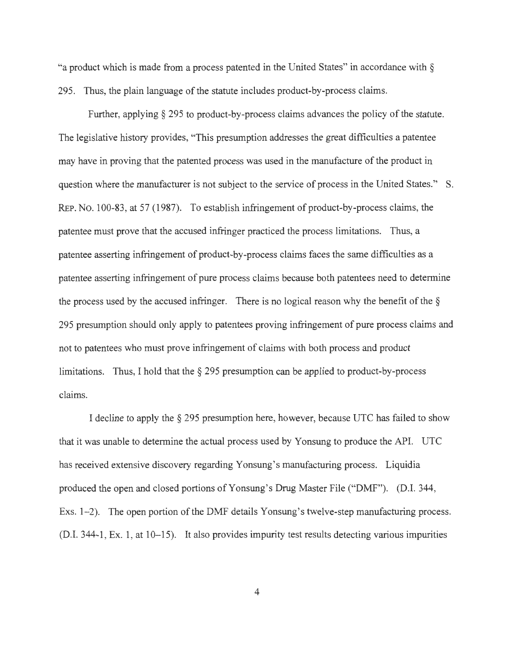"a product which is made from a process patented in the United States" in accordance with § 295. Thus, the plain language of the statute includes product-by-process claims.

Further, applying § 295 to product-by-process claims advances the policy of the statute. The legislative history provides, "This presumption addresses the great difficulties a patentee may have in proving that the patented process was used in the manufacture of the product in question where the manufacturer is not subject to the service of process in the United States." S. REP. No. 100-83, at 57 (1987). To establish infringement of product-by-process claims, the patentee must prove that the accused infringer practiced the process limitations. Thus, a patentee asserting infringement of product-by-process claims faces the same difficulties as a patentee asserting infringement of pure process claims because both patentees need to determine the process used by the accused infringer. There is no logical reason why the benefit of the  $\S$ 295 presumption should only apply to patentees proving infringement of pure process claims and not to patentees who must prove infringement of claims with both process and product limitations. Thus, I hold that the  $\S 295$  presumption can be applied to product-by-process claims.

I decline to apply the§ 295 presumption here, however, because UTC has failed to show that it was unable to determine the actual process used by Yonsung to produce the API. UTC has received extensive discovery regarding Yonsung's manufacturing process. Liquidia produced the open and closed portions of Yonsung's Drug Master File ("DMF"). (D.1. 344, Exs. 1-2). The open portion of the DMF details Yonsung's twelve-step manufacturing process. (D.1. 344-1 , Ex. 1, at 10-15). It also provides impurity test results detecting various impurities

4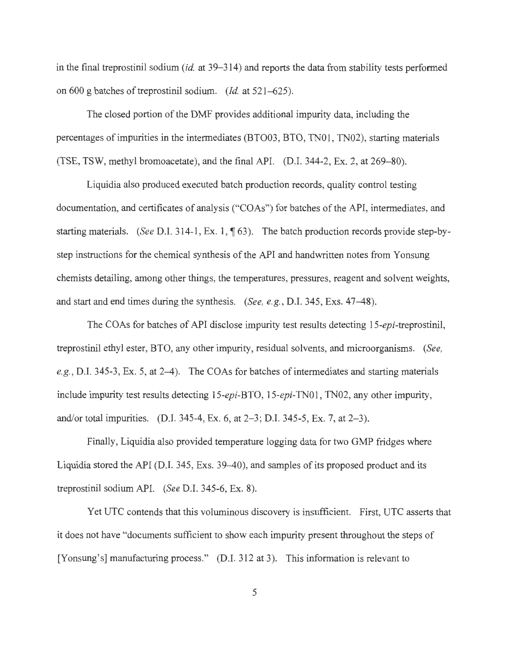in the final treprostinil sodium *(id. at 39–314)* and reports the data from stability tests performed on 600 g batches of treprostinil sodium. *(Id.* at 521–625).

The closed portion of the DMF provides additional impurity data, including the percentages of impurities in the intermediates (BTO03, BTO, TN01, TN02), starting materials (TSE, TSW, methyl bromoacetate), and the final APL (D.I. 344-2, Ex. 2, at 269-80).

Liquidia also produced executed batch production records, quality control testing documentation, and certificates of analysis ("CO As") for batches of the API, intermediates, and starting materials. *(See D.I.* 314-1, Ex. 1,  $\P$  63). The batch production records provide step-bystep instructions for the chemical synthesis of the API and handwritten notes from Y onsung chemists detailing, among other things, the temperatures, pressures, reagent and solvent weights, and start and end times during the synthesis. *(See, e.g. ,* D.I. 345, Exs. 47--48).

The COAs for batches of API disclose impurity test results detecting 15-epi-treprostinil, treprostinil ethyl ester, BTO, any other impurity, residual solvents, and microorganisms. *(See,*  e.g., D.I. 345-3, Ex. 5, at 2-4). The COAs for batches of intermediates and starting materials include impurity test results detecting 15-epi-BTO, 15-epi-TN01, TN02, any other impurity, and/or total impurities. (D.I. 345-4, Ex. 6, at 2-3; D.I. 345-5, Ex. 7, at 2-3).

Finally, Liquidia also provided temperature logging data for two GMP fridges where Liquidia stored the API (D.I. 345, Exs. 39–40), and samples of its proposed product and its treprostinil sodium APL *(See* D.I. 345-6, Ex. 8).

Yet UTC contends that this voluminous discovery is insufficient. First, UTC asserts that it does not have "documents sufficient to show each impurity present throughout the steps of [Yonsung's] manufacturing process." (D.I. 312 at 3). This information is relevant to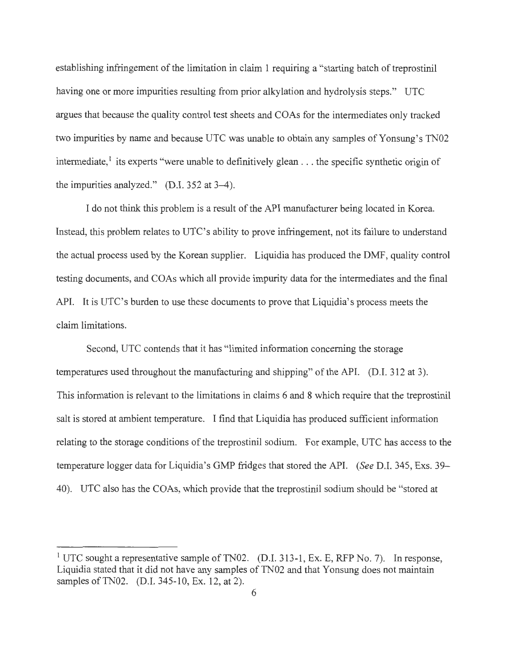establishing infringement of the limitation in claim 1 requiring a "starting batch of treprostinil having one or more impurities resulting from prior alkylation and hydrolysis steps." UTC argues that because the quality control test sheets and COAs for the intermediates only tracked two impurities by name and because UTC was unable to obtain any samples of Yonsung's TN02 intermediate,<sup> $1$ </sup> its experts "were unable to definitively glean . . . the specific synthetic origin of the impurities analyzed." (D.I. 352 at 3-4).

I do not think this problem is a result of the API manufacturer being located in Korea. Instead, this problem relates to UTC's ability to prove infringement, not its failure to understand the actual process used by the Korean supplier. Liquidia has produced the DMF, quality control testing documents, and COAs which all provide impurity data for the intermediates and the final API. It is UTC's burden to use these documents to prove that Liquidia's process meets the claim limitations.

Second, UTC contends that it has "limited information concerning the storage temperatures used throughout the manufacturing and shipping" of the API. (D.I. 312 at 3). This information is relevant to the limitations in claims 6 and 8 which require that the treprostinil salt is stored at ambient temperature. I find that Liquidia has produced sufficient information relating to the storage conditions of the treprostinil sodium. For example, UTC has access to the temperature logger data for Liquidia's GMP fridges that stored the APL *(See* D.I. 345, Exs. 39- 40). UTC also has the COAs, which provide that the treprostinil sodium should be "stored at

<sup>&</sup>lt;sup>1</sup> UTC sought a representative sample of TN02. (D.I. 313-1, Ex. E, RFP No. 7). In response, Liquidia stated that it did not have any samples of TN02 and that Y onsung does not maintain samples of TN02. (D.I. 345-10, Ex. 12, at 2).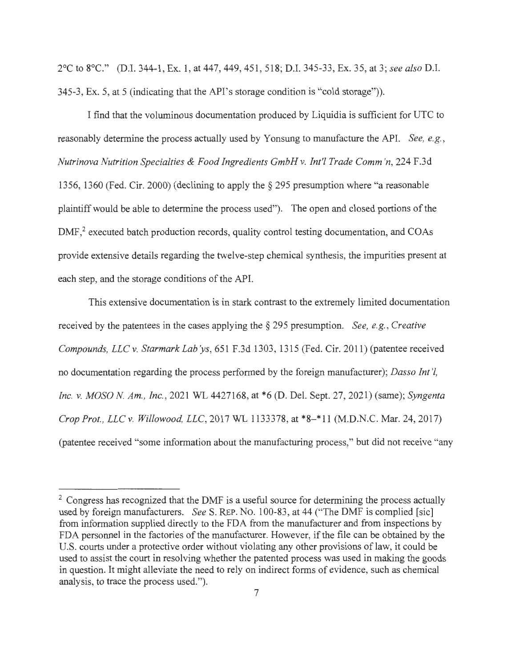2°C to 8°C." (D.I. 344-1 , Ex. 1, at 447, 449, 451 , 518; D.I. 345-33, Ex. 35, at 3; *see also* D.I. 345-3, Ex. 5, at 5 (indicating that the API's storage condition is "cold storage")).

I find that the voluminous documentation produced by Liquidia is sufficient for UTC to reasonably determine the process actually used by Y onsung to manufacture the APL *See, e.g., Nutrinova Nutrition Specialties & Food Ingredients GmbH* v. *Int'/ Trade Comm 'n,* 224 F.3d 1356, 1360 (Fed. Cir. 2000) (declining to apply the§ 295 presumption where "a reasonable plaintiff would be able to determine the process used"). The open and closed portions of the DMF,<sup>2</sup> executed batch production records, quality control testing documentation, and COAs provide extensive details regarding the twelve-step chemical synthesis, the impurities present at each step, and the storage conditions of the APL

This extensive documentation is in stark contrast to the extremely limited documentation received by the patentees in the cases applying the § 295 presumption. *See, e.g. , Creative Compounds, LLC* v. *Starmark Lab 'ys,* 651 F.3d 1303, 1315 (Fed. Cir. 2011) (patentee received no documentation regarding the process performed by the foreign manufacturer); *Dasso Int '/, Inc.* v. *MOSO N Am., Inc. ,* 2021 WL 4427168, at \*6 (D. Del. Sept. 27, 2021) (same); *Syngenta Crop Prot. , LLC* v. *Willowood, LLC,* 2017 WL 1133378, at \*8-\* 11 (M.D.N.C. Mar. 24, 2017) (patentee received "some information about the manufacturing process," but did not receive "any

 $2 \text{ Congress has recognized that the DMF is a useful source for determining the process actually}$ used by foreign manufacturers. *See* S. REP. No. 100-83, at 44 ("The DMF is complied [sic] from information supplied directly to the FDA from the manufacturer and from inspections by FDA personnel in the factories of the manufacturer. However, if the file can be obtained by the U.S. courts under a protective order without violating any other provisions of law, it could be used to assist the court in resolving whether the patented process was used in making the goods in question. It might alleviate the need to rely on indirect forms of evidence, such as chemical analysis, to trace the process used.").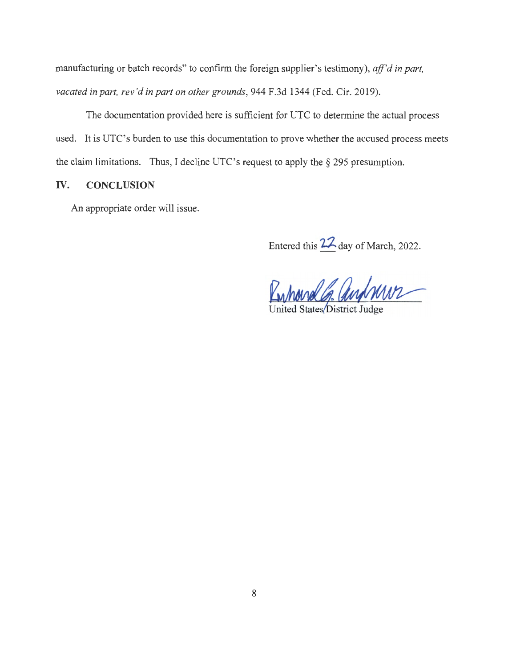manufacturing or batch records" to confirm the foreign supplier's testimony), *ajf'd in part, vacated in part, rev 'd in part on other grounds,* 944 F.3d 1344 (Fed. Cir. 2019).

The documentation provided here is sufficient for UTC to determine the actual process used. It is UTC's burden to use this documentation to prove whether the accused process meets the claim limitations. Thus, I decline UTC's request to apply the§ 295 presumption.

## **IV. CONCLUSION**

An appropriate order will issue.

Entered this **???.** day of March, 2022.

rolls aufnun

United States District Judge